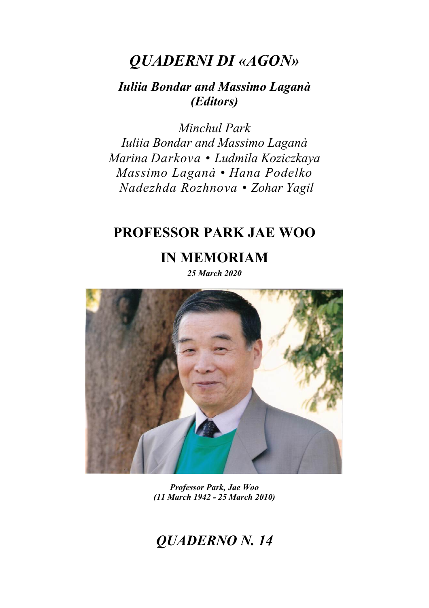# *QUADERNI DI «AGON»*

## *Iuliia Bondar and Massimo Laganà (Editors)*

*Minchul Park Iuliia Bondar and Massimo Laganà Marina Darkova • Ludmila Koziczkaya Massimo Laganà • Hana Podelko Nadezhda Rozhnova • Zohar Yagil*

## **PROFESSOR PARK JAE WOO**

**IN MEMORIAM**

*25 March 2020*



*Professor Park, Jae Woo (11 March 1942 - 25 March 2010)*

# *QUADERNO N. 14*